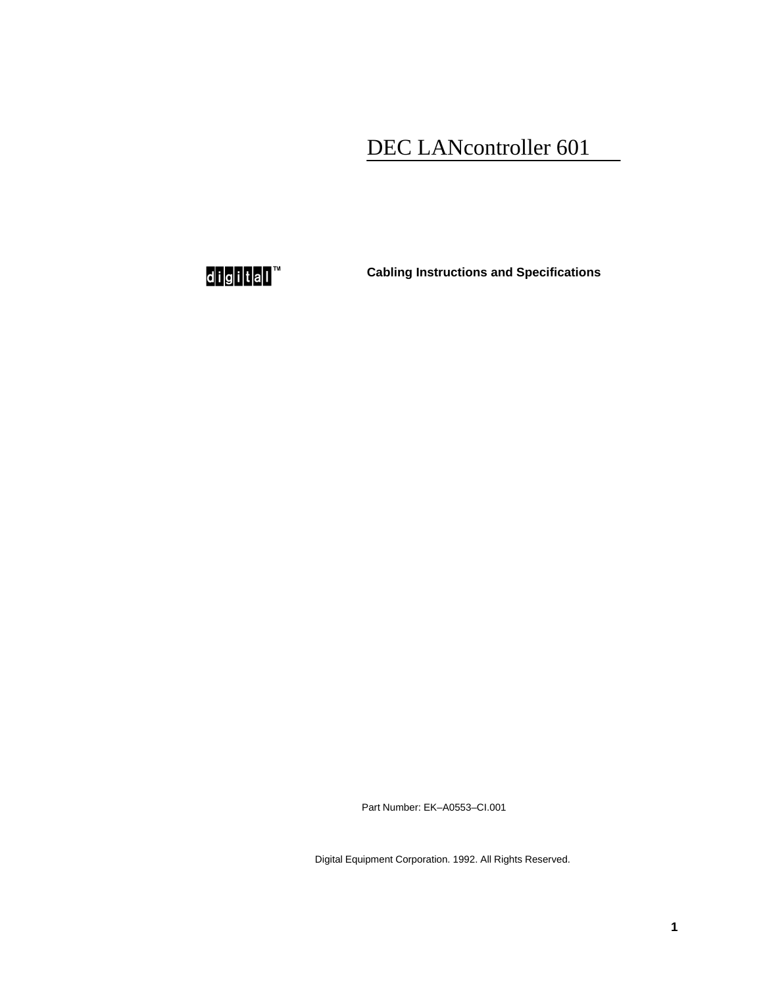## DEC LANcontroller 601

d<mark>ig</mark>ital™

**Cabling Instructions and Specifications**

Part Number: EK–A0553–CI.001

Digital Equipment Corporation. 1992. All Rights Reserved.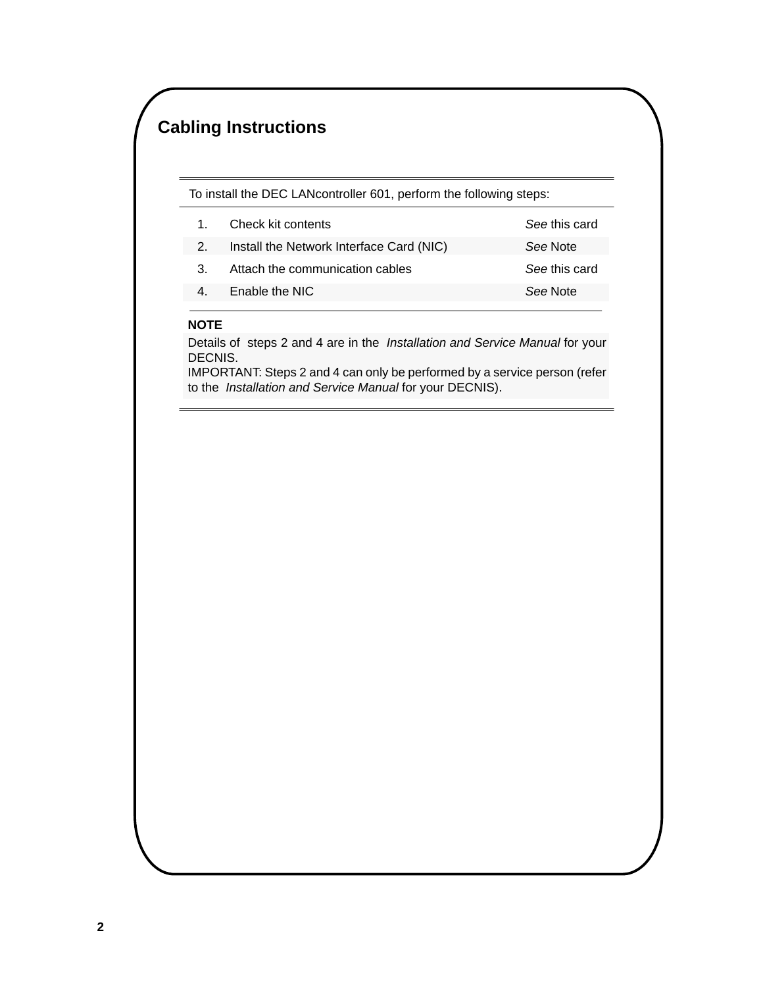## **Cabling Instructions**

To install the DEC LANcontroller 601, perform the following steps:

|  | Check kit contents                       | See this card |
|--|------------------------------------------|---------------|
|  | Install the Network Interface Card (NIC) | See Note      |
|  | Attach the communication cables          | See this card |

See Note

Enable the NIC 4.

#### **NOTE**

Details of steps 2 and 4 are in the Installation and Service Manual for your DECNIS.

IMPORTANT: Steps 2 and 4 can only be performed by a service person (refer to the Installation and Service Manual for your DECNIS).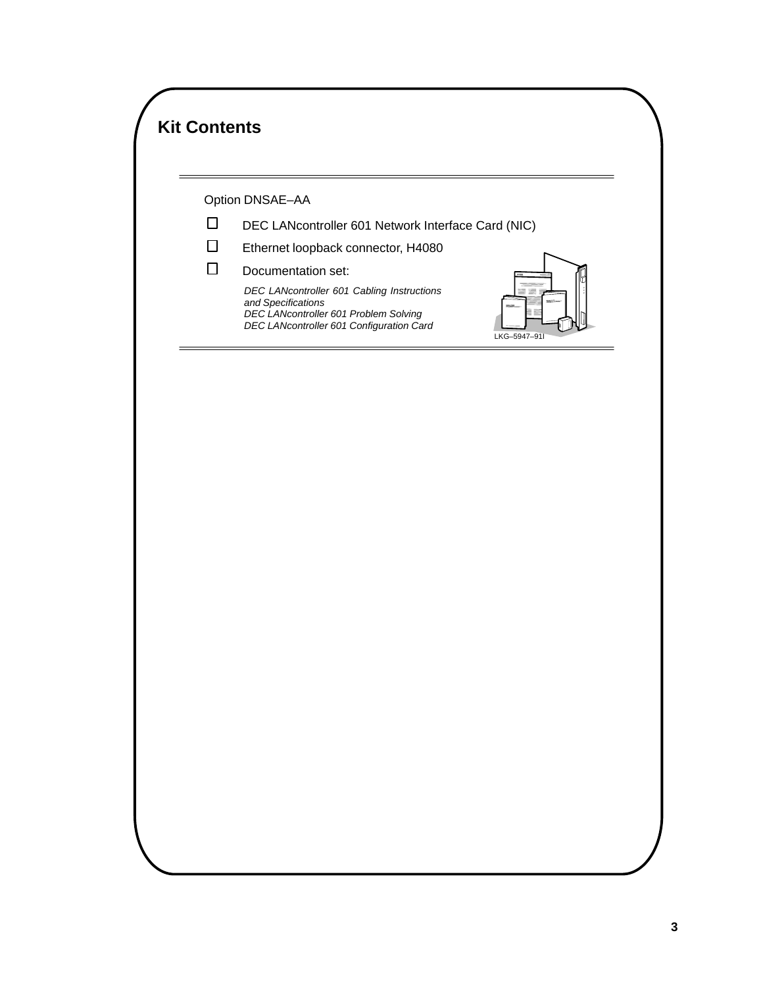|        | Option DNSAE-AA                                                                                                                                                                                       |  |
|--------|-------------------------------------------------------------------------------------------------------------------------------------------------------------------------------------------------------|--|
| □<br>□ | DEC LANcontroller 601 Network Interface Card (NIC)<br>Ethernet loopback connector, H4080                                                                                                              |  |
| □      | Documentation set:<br>DEC LANcontroller 601 Cabling Instructions<br>≣<br>≡<br>and Specifications<br>DEC LANcontroller 601 Problem Solving<br>DEC LANcontroller 601 Configuration Card<br>LKG-5947-91I |  |
|        |                                                                                                                                                                                                       |  |
|        |                                                                                                                                                                                                       |  |
|        |                                                                                                                                                                                                       |  |
|        |                                                                                                                                                                                                       |  |
|        |                                                                                                                                                                                                       |  |
|        |                                                                                                                                                                                                       |  |
|        |                                                                                                                                                                                                       |  |
|        |                                                                                                                                                                                                       |  |
|        |                                                                                                                                                                                                       |  |
|        |                                                                                                                                                                                                       |  |
|        |                                                                                                                                                                                                       |  |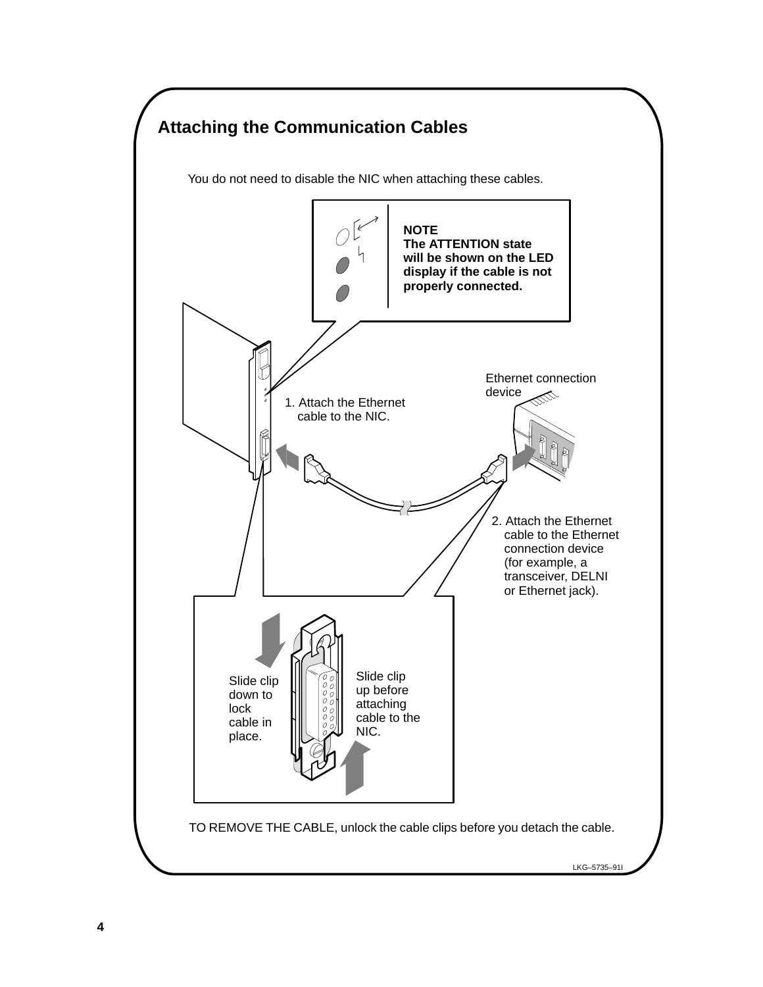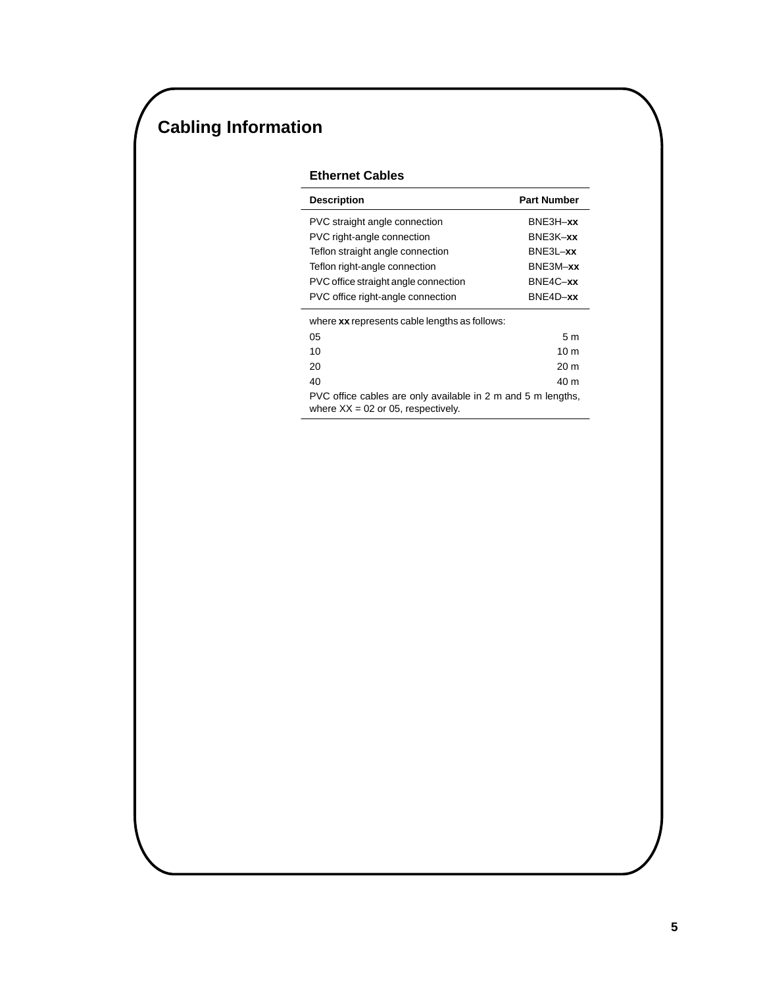# **Cabling Information**

### **Ethernet Cables**

| <b>Description</b>                                                                                   | <b>Part Number</b> |  |  |  |
|------------------------------------------------------------------------------------------------------|--------------------|--|--|--|
| PVC straight angle connection                                                                        | $BNE3H - xx$       |  |  |  |
| PVC right-angle connection                                                                           | BNE3K-xx           |  |  |  |
| Teflon straight angle connection                                                                     | $BNE3L - xx$       |  |  |  |
| Teflon right-angle connection                                                                        | BNE3M-xx           |  |  |  |
| PVC office straight angle connection                                                                 | $BNE4C - xx$       |  |  |  |
| PVC office right-angle connection                                                                    | BNE4D-xx           |  |  |  |
| where xx represents cable lengths as follows:                                                        |                    |  |  |  |
| 05                                                                                                   | 5 m                |  |  |  |
| 10                                                                                                   | 10 <sub>m</sub>    |  |  |  |
| 20                                                                                                   | 20 <sub>m</sub>    |  |  |  |
| 40                                                                                                   | 40 m               |  |  |  |
| PVC office cables are only available in 2 m and 5 m lengths,<br>where $XX = 02$ or 05, respectively. |                    |  |  |  |